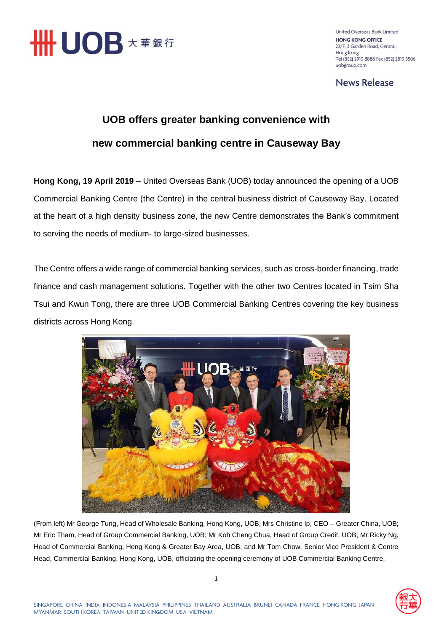

United Overseas Bank Limited **HONG KONG OFFICE** 23/F, 3 Garden Road, Central, Hong Kong Tel (852) 2910 8888 Fax (852) 2810 5506 uobgroup.com

**News Release** 

## **UOB offers greater banking convenience with new commercial banking centre in Causeway Bay**

**Hong Kong, 19 April 2019** – United Overseas Bank (UOB) today announced the opening of a UOB Commercial Banking Centre (the Centre) in the central business district of Causeway Bay. Located at the heart of a high density business zone, the new Centre demonstrates the Bank's commitment to serving the needs of medium- to large-sized businesses.

The Centre offers a wide range of commercial banking services, such as cross-border financing, trade finance and cash management solutions. Together with the other two Centres located in Tsim Sha Tsui and Kwun Tong, there are three UOB Commercial Banking Centres covering the key business districts across Hong Kong.



(From left) Mr George Tung, Head of Wholesale Banking, Hong Kong, UOB; Mrs Christine Ip, CEO – Greater China, UOB; Mr Eric Tham, Head of Group Commercial Banking, UOB; Mr Koh Cheng Chua, Head of Group Credit, UOB; Mr Ricky Ng, Head of Commercial Banking, Hong Kong & Greater Bay Area, UOB, and Mr Tom Chow, Senior Vice President & Centre Head, Commercial Banking, Hong Kong, UOB, officiating the opening ceremony of UOB Commercial Banking Centre.

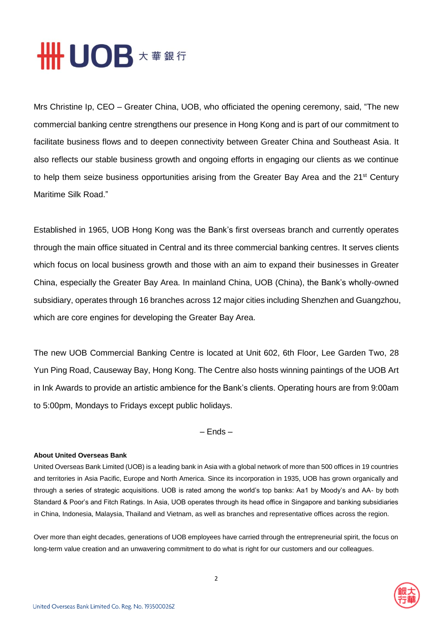

Mrs Christine Ip, CEO – Greater China, UOB, who officiated the opening ceremony, said, "The new commercial banking centre strengthens our presence in Hong Kong and is part of our commitment to facilitate business flows and to deepen connectivity between Greater China and Southeast Asia. It also reflects our stable business growth and ongoing efforts in engaging our clients as we continue to help them seize business opportunities arising from the Greater Bay Area and the 21<sup>st</sup> Century Maritime Silk Road."

Established in 1965, UOB Hong Kong was the Bank's first overseas branch and currently operates through the main office situated in Central and its three commercial banking centres. It serves clients which focus on local business growth and those with an aim to expand their businesses in Greater China, especially the Greater Bay Area. In mainland China, UOB (China), the Bank's wholly-owned subsidiary, operates through 16 branches across 12 major cities including Shenzhen and Guangzhou, which are core engines for developing the Greater Bay Area.

The new UOB Commercial Banking Centre is located at Unit 602, 6th Floor, Lee Garden Two, 28 Yun Ping Road, Causeway Bay, Hong Kong. The Centre also hosts winning paintings of the UOB Art in Ink Awards to provide an artistic ambience for the Bank's clients. Operating hours are from 9:00am to 5:00pm, Mondays to Fridays except public holidays.

– Ends –

## **About United Overseas Bank**

United Overseas Bank Limited (UOB) is a leading bank in Asia with a global network of more than 500 offices in 19 countries and territories in Asia Pacific, Europe and North America. Since its incorporation in 1935, UOB has grown organically and through a series of strategic acquisitions. UOB is rated among the world's top banks: Aa1 by Moody's and AA- by both Standard & Poor's and Fitch Ratings. In Asia, UOB operates through its head office in Singapore and banking subsidiaries in China, Indonesia, Malaysia, Thailand and Vietnam, as well as branches and representative offices across the region.

Over more than eight decades, generations of UOB employees have carried through the entrepreneurial spirit, the focus on long-term value creation and an unwavering commitment to do what is right for our customers and our colleagues.